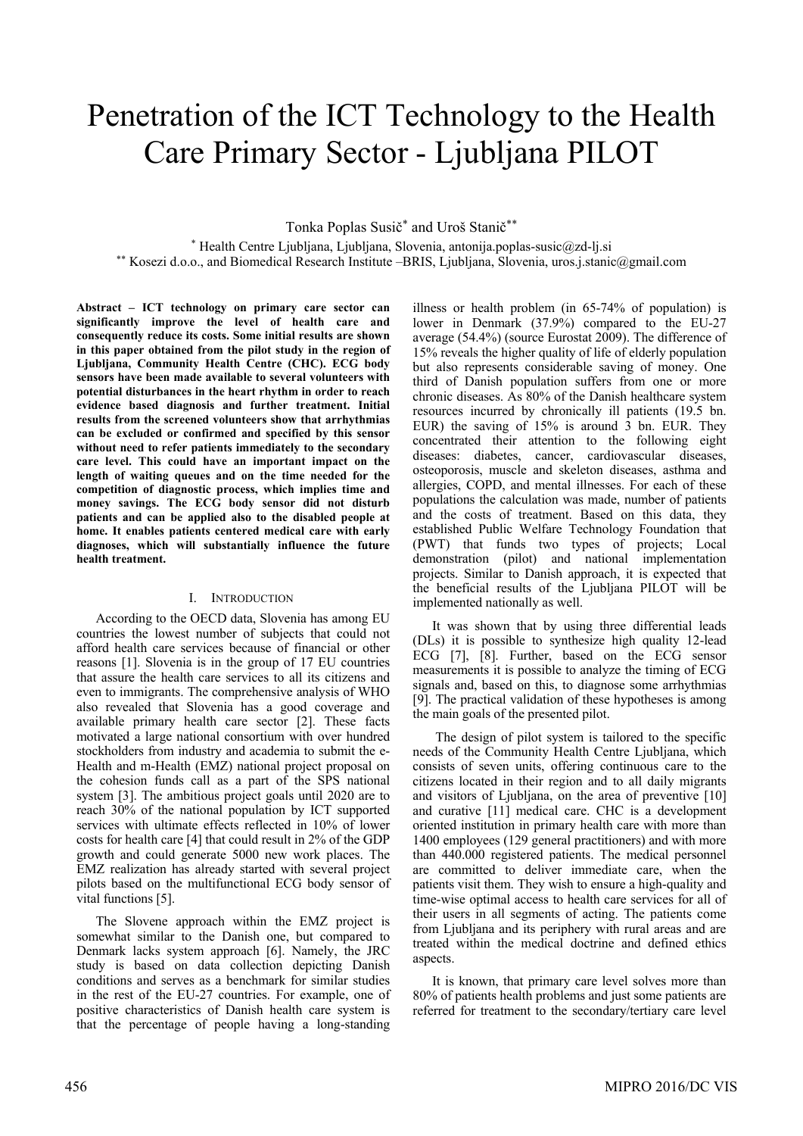# Penetration of the ICT Technology to the Health Care Primary Sector - Ljubljana PILOT

Tonka Poplas Susič\* and Uroš Stanič\*\*

\* Health Centre Ljubljana, Ljubljana, Slovenia, antonija.poplas-susic@zd-lj.si \*\* Kosezi d.o.o., and Biomedical Research Institute –BRIS, Ljubljana, Slovenia, uros.j.stanic@gmail.com

**Abstract – ICT technology on primary care sector can significantly improve the level of health care and consequently reduce its costs. Some initial results are shown in this paper obtained from the pilot study in the region of Ljubljana, Community Health Centre (CHC). ECG body sensors have been made available to several volunteers with potential disturbances in the heart rhythm in order to reach evidence based diagnosis and further treatment. Initial results from the screened volunteers show that arrhythmias can be excluded or confirmed and specified by this sensor without need to refer patients immediately to the secondary care level. This could have an important impact on the length of waiting queues and on the time needed for the competition of diagnostic process, which implies time and money savings. The ECG body sensor did not disturb patients and can be applied also to the disabled people at home. It enables patients centered medical care with early diagnoses, which will substantially influence the future health treatment.** 

# I. INTRODUCTION

According to the OECD data, Slovenia has among EU countries the lowest number of subjects that could not afford health care services because of financial or other reasons [1]. Slovenia is in the group of 17 EU countries that assure the health care services to all its citizens and even to immigrants. The comprehensive analysis of WHO also revealed that Slovenia has a good coverage and available primary health care sector [2]. These facts motivated a large national consortium with over hundred stockholders from industry and academia to submit the e-Health and m-Health (EMZ) national project proposal on the cohesion funds call as a part of the SPS national system [3]. The ambitious project goals until 2020 are to reach 30% of the national population by ICT supported services with ultimate effects reflected in 10% of lower costs for health care [4] that could result in 2% of the GDP growth and could generate 5000 new work places. The EMZ realization has already started with several project pilots based on the multifunctional ECG body sensor of vital functions [5].

The Slovene approach within the EMZ project is somewhat similar to the Danish one, but compared to Denmark lacks system approach [6]. Namely, the JRC study is based on data collection depicting Danish conditions and serves as a benchmark for similar studies in the rest of the EU-27 countries. For example, one of positive characteristics of Danish health care system is that the percentage of people having a long-standing illness or health problem (in 65-74% of population) is lower in Denmark (37.9%) compared to the EU-27 average (54.4%) (source Eurostat 2009). The difference of 15% reveals the higher quality of life of elderly population but also represents considerable saving of money. One third of Danish population suffers from one or more chronic diseases. As 80% of the Danish healthcare system resources incurred by chronically ill patients (19.5 bn. EUR) the saving of  $15\%$  is around  $\overline{3}$  bn. EUR. They concentrated their attention to the following eight diseases: diabetes, cancer, cardiovascular diseases, osteoporosis, muscle and skeleton diseases, asthma and allergies, COPD, and mental illnesses. For each of these populations the calculation was made, number of patients and the costs of treatment. Based on this data, they established Public Welfare Technology Foundation that (PWT) that funds two types of projects; Local demonstration (pilot) and national implementation projects. Similar to Danish approach, it is expected that the beneficial results of the Ljubljana PILOT will be implemented nationally as well.

It was shown that by using three differential leads (DLs) it is possible to synthesize high quality 12-lead ECG [7], [8]. Further, based on the ECG sensor measurements it is possible to analyze the timing of ECG signals and, based on this, to diagnose some arrhythmias [9]. The practical validation of these hypotheses is among the main goals of the presented pilot.

 The design of pilot system is tailored to the specific needs of the Community Health Centre Ljubljana, which consists of seven units, offering continuous care to the citizens located in their region and to all daily migrants and visitors of Ljubliana, on the area of preventive [10] and curative [11] medical care. CHC is a development oriented institution in primary health care with more than 1400 employees (129 general practitioners) and with more than 440.000 registered patients. The medical personnel are committed to deliver immediate care, when the patients visit them. They wish to ensure a high-quality and time-wise optimal access to health care services for all of their users in all segments of acting. The patients come from Ljubljana and its periphery with rural areas and are treated within the medical doctrine and defined ethics aspects.

It is known, that primary care level solves more than 80% of patients health problems and just some patients are referred for treatment to the secondary/tertiary care level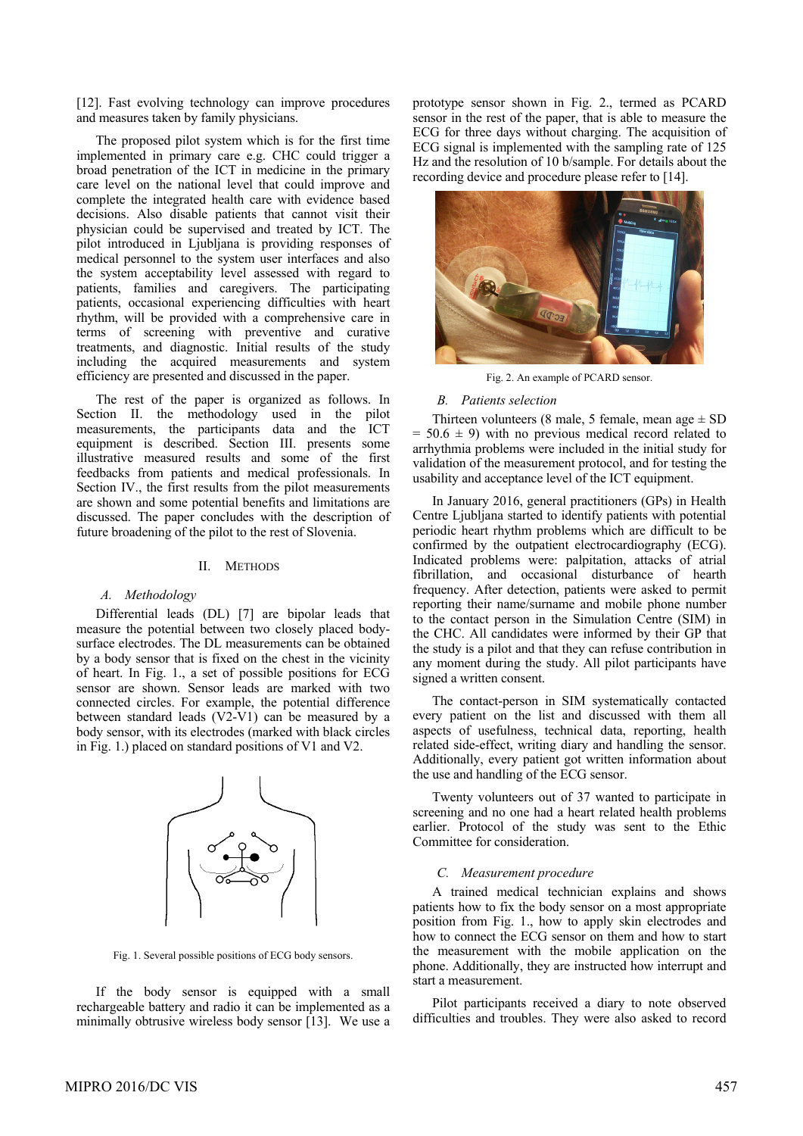[12]. Fast evolving technology can improve procedures and measures taken by family physicians.

The proposed pilot system which is for the first time implemented in primary care e.g. CHC could trigger a broad penetration of the ICT in medicine in the primary care level on the national level that could improve and complete the integrated health care with evidence based decisions. Also disable patients that cannot visit their physician could be supervised and treated by ICT. The pilot introduced in Ljubljana is providing responses of medical personnel to the system user interfaces and also the system acceptability level assessed with regard to patients, families and caregivers. The participating patients, occasional experiencing difficulties with heart rhythm, will be provided with a comprehensive care in terms of screening with preventive and curative treatments, and diagnostic. Initial results of the study including the acquired measurements and system efficiency are presented and discussed in the paper.

The rest of the paper is organized as follows. In Section II. the methodology used in the pilot measurements, the participants data and the ICT equipment is described. Section III. presents some illustrative measured results and some of the first feedbacks from patients and medical professionals. In Section IV., the first results from the pilot measurements are shown and some potential benefits and limitations are discussed. The paper concludes with the description of future broadening of the pilot to the rest of Slovenia.

## II. METHODS

### *A. Methodology*

Differential leads (DL) [7] are bipolar leads that measure the potential between two closely placed bodysurface electrodes. The DL measurements can be obtained by a body sensor that is fixed on the chest in the vicinity of heart. In Fig. 1., a set of possible positions for ECG sensor are shown. Sensor leads are marked with two connected circles. For example, the potential difference between standard leads (V2-V1) can be measured by a body sensor, with its electrodes (marked with black circles in Fig. 1.) placed on standard positions of V1 and V2.



Fig. 1. Several possible positions of ECG body sensors.

If the body sensor is equipped with a small rechargeable battery and radio it can be implemented as a minimally obtrusive wireless body sensor [13]. We use a prototype sensor shown in Fig. 2., termed as PCARD sensor in the rest of the paper, that is able to measure the ECG for three days without charging. The acquisition of ECG signal is implemented with the sampling rate of 125 Hz and the resolution of 10 b/sample. For details about the recording device and procedure please refer to [14].



Fig. 2. An example of PCARD sensor.

#### *B. Patients selection*

Thirteen volunteers (8 male, 5 female, mean age  $\pm$  SD  $= 50.6 \pm 9$ ) with no previous medical record related to arrhythmia problems were included in the initial study for validation of the measurement protocol, and for testing the usability and acceptance level of the ICT equipment.

In January 2016, general practitioners (GPs) in Health Centre Ljubljana started to identify patients with potential periodic heart rhythm problems which are difficult to be confirmed by the outpatient electrocardiography (ECG). Indicated problems were: palpitation, attacks of atrial fibrillation, and occasional disturbance of hearth frequency. After detection, patients were asked to permit reporting their name/surname and mobile phone number to the contact person in the Simulation Centre (SIM) in the CHC. All candidates were informed by their GP that the study is a pilot and that they can refuse contribution in any moment during the study. All pilot participants have signed a written consent.

The contact-person in SIM systematically contacted every patient on the list and discussed with them all aspects of usefulness, technical data, reporting, health related side-effect, writing diary and handling the sensor. Additionally, every patient got written information about the use and handling of the ECG sensor.

Twenty volunteers out of 37 wanted to participate in screening and no one had a heart related health problems earlier. Protocol of the study was sent to the Ethic Committee for consideration.

#### *C. Measurement procedure*

A trained medical technician explains and shows patients how to fix the body sensor on a most appropriate position from Fig. 1., how to apply skin electrodes and how to connect the ECG sensor on them and how to start the measurement with the mobile application on the phone. Additionally, they are instructed how interrupt and start a measurement.

Pilot participants received a diary to note observed difficulties and troubles. They were also asked to record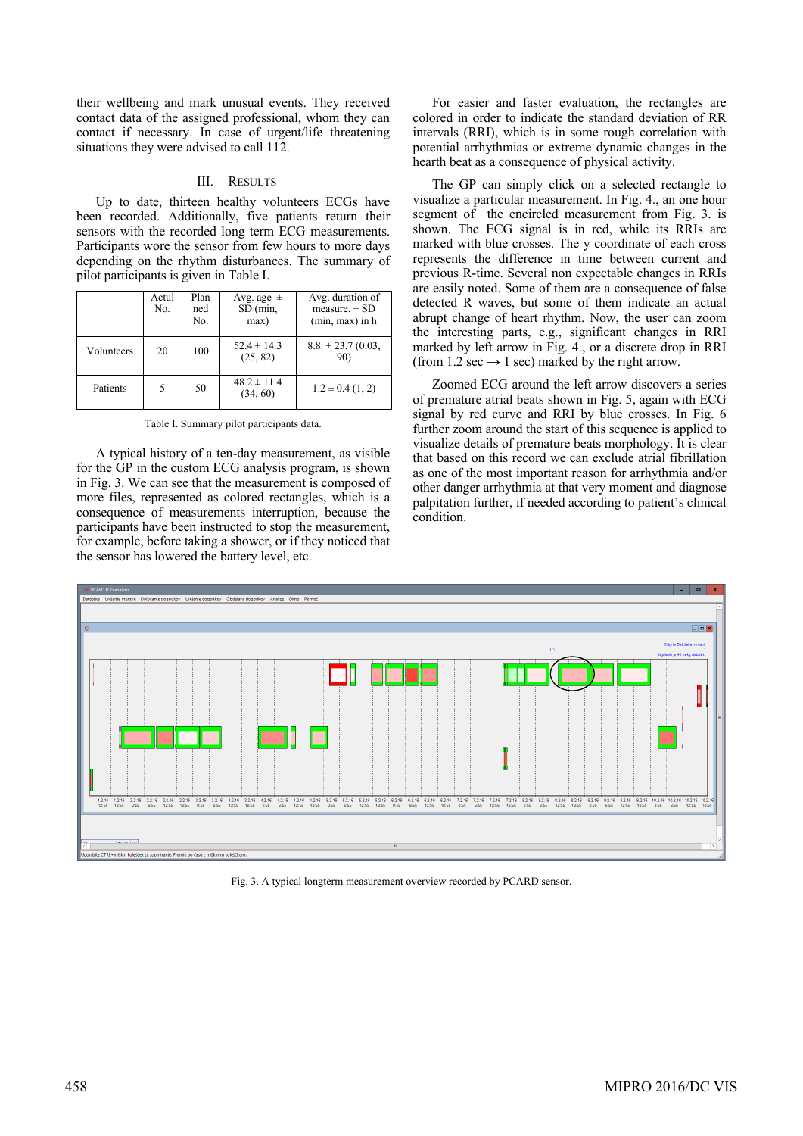their wellbeing and mark unusual events. They received contact data of the assigned professional, whom they can contact if necessary. In case of urgent/life threatening situations they were advised to call 112.

# III. RESULTS

Up to date, thirteen healthy volunteers ECGs have been recorded. Additionally, five patients return their sensors with the recorded long term ECG measurements. Participants wore the sensor from few hours to more days depending on the rhythm disturbances. The summary of pilot participants is given in Table I.

|            | Actul<br>No. | Plan<br>ned<br>No. | Avg. age $\pm$<br>$SD$ (min.<br>max) | Avg. duration of<br>measure. $\pm$ SD<br>$(min, max)$ in h |
|------------|--------------|--------------------|--------------------------------------|------------------------------------------------------------|
| Volunteers | 20           | 100                | $52.4 \pm 14.3$<br>(25, 82)          | $8.8 \pm 23.7$ (0.03,<br>90)                               |
| Patients   | 5            | 50                 | $48.2 \pm 11.4$<br>(34, 60)          | $1.2 \pm 0.4$ (1, 2)                                       |

Table I. Summary pilot participants data.

A typical history of a ten-day measurement, as visible for the GP in the custom ECG analysis program, is shown in Fig. 3. We can see that the measurement is composed of more files, represented as colored rectangles, which is a consequence of measurements interruption, because the participants have been instructed to stop the measurement, for example, before taking a shower, or if they noticed that the sensor has lowered the battery level, etc.

For easier and faster evaluation, the rectangles are colored in order to indicate the standard deviation of RR intervals (RRI), which is in some rough correlation with potential arrhythmias or extreme dynamic changes in the hearth beat as a consequence of physical activity.

The GP can simply click on a selected rectangle to visualize a particular measurement. In Fig. 4., an one hour segment of the encircled measurement from Fig. 3. is shown. The ECG signal is in red, while its RRIs are marked with blue crosses. The y coordinate of each cross represents the difference in time between current and previous R-time. Several non expectable changes in RRIs are easily noted. Some of them are a consequence of false detected R waves, but some of them indicate an actual abrupt change of heart rhythm. Now, the user can zoom the interesting parts, e.g., significant changes in RRI marked by left arrow in Fig. 4., or a discrete drop in RRI (from 1.2 sec  $\rightarrow$  1 sec) marked by the right arrow.

Zoomed ECG around the left arrow discovers a series of premature atrial beats shown in Fig. 5, again with ECG signal by red curve and RRI by blue crosses. In Fig. 6 further zoom around the start of this sequence is applied to visualize details of premature beats morphology. It is clear that based on this record we can exclude atrial fibrillation as one of the most important reason for arrhythmia and/or other danger arrhythmia at that very moment and diagnose palpitation further, if needed according to patient's clinical condition.



Fig. 3. A typical longterm measurement overview recorded by PCARD sensor.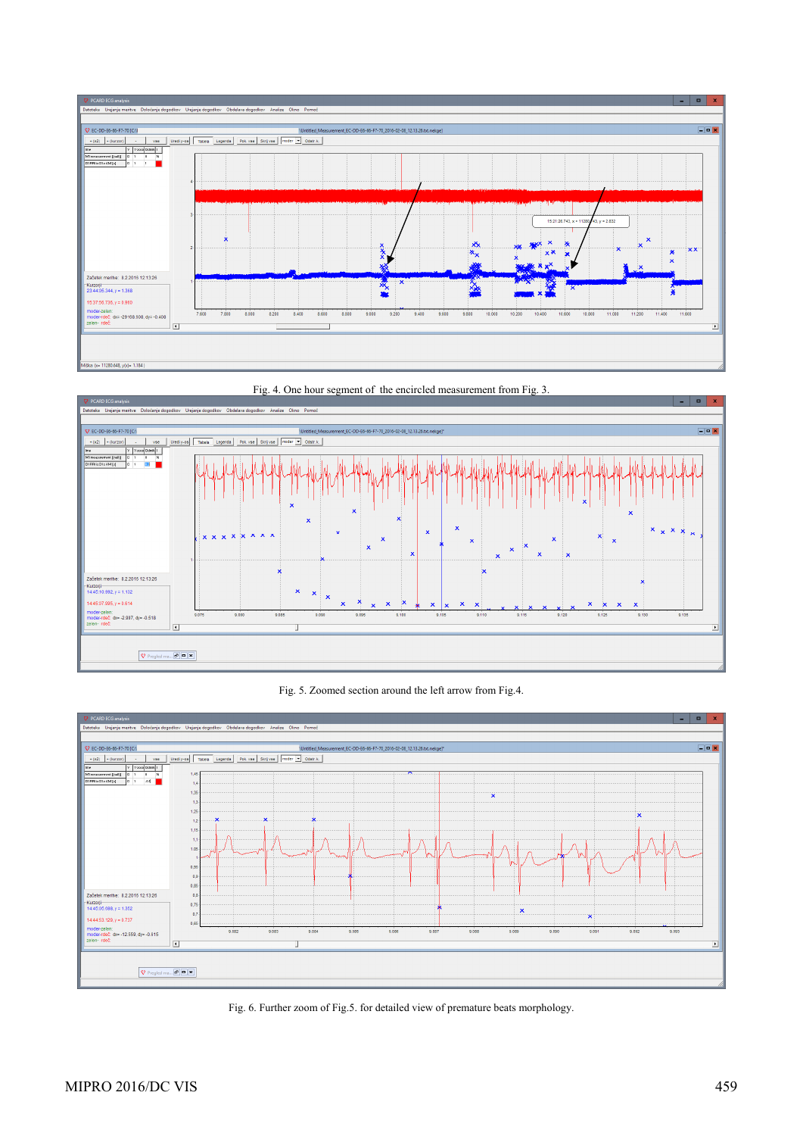





Fig. 5. Zoomed section around the left arrow from Fig.4.



Fig. 6. Further zoom of Fig.5. for detailed view of premature beats morphology.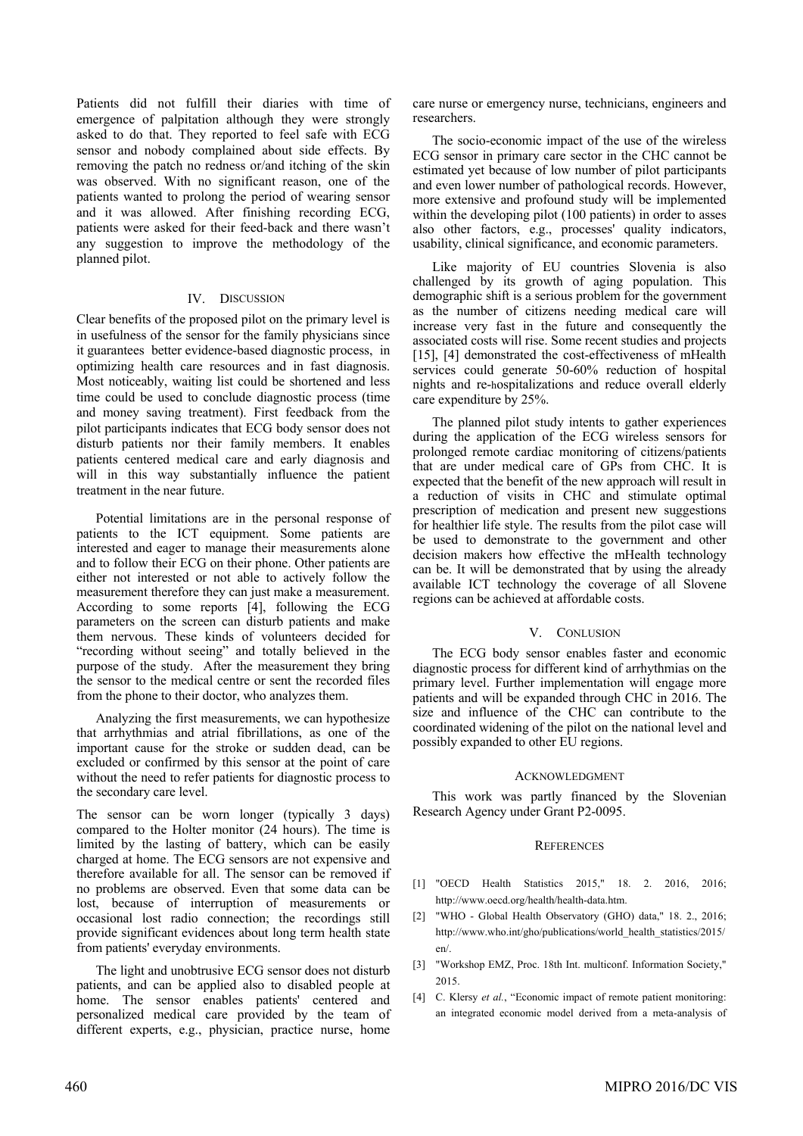Patients did not fulfill their diaries with time of emergence of palpitation although they were strongly asked to do that. They reported to feel safe with ECG sensor and nobody complained about side effects. By removing the patch no redness or/and itching of the skin was observed. With no significant reason, one of the patients wanted to prolong the period of wearing sensor and it was allowed. After finishing recording ECG, patients were asked for their feed-back and there wasn't any suggestion to improve the methodology of the planned pilot.

# IV. DISCUSSION

Clear benefits of the proposed pilot on the primary level is in usefulness of the sensor for the family physicians since it guarantees better evidence-based diagnostic process, in optimizing health care resources and in fast diagnosis. Most noticeably, waiting list could be shortened and less time could be used to conclude diagnostic process (time and money saving treatment). First feedback from the pilot participants indicates that ECG body sensor does not disturb patients nor their family members. It enables patients centered medical care and early diagnosis and will in this way substantially influence the patient treatment in the near future.

Potential limitations are in the personal response of patients to the ICT equipment. Some patients are interested and eager to manage their measurements alone and to follow their ECG on their phone. Other patients are either not interested or not able to actively follow the measurement therefore they can just make a measurement. According to some reports [4], following the ECG parameters on the screen can disturb patients and make them nervous. These kinds of volunteers decided for "recording without seeing" and totally believed in the purpose of the study. After the measurement they bring the sensor to the medical centre or sent the recorded files from the phone to their doctor, who analyzes them.

Analyzing the first measurements, we can hypothesize that arrhythmias and atrial fibrillations, as one of the important cause for the stroke or sudden dead, can be excluded or confirmed by this sensor at the point of care without the need to refer patients for diagnostic process to the secondary care level.

The sensor can be worn longer (typically 3 days) compared to the Holter monitor (24 hours). The time is limited by the lasting of battery, which can be easily charged at home. The ECG sensors are not expensive and therefore available for all. The sensor can be removed if no problems are observed. Even that some data can be lost, because of interruption of measurements or occasional lost radio connection; the recordings still provide significant evidences about long term health state from patients' everyday environments.

The light and unobtrusive ECG sensor does not disturb patients, and can be applied also to disabled people at home. The sensor enables patients' centered and personalized medical care provided by the team of different experts, e.g., physician, practice nurse, home

care nurse or emergency nurse, technicians, engineers and researchers.

The socio-economic impact of the use of the wireless ECG sensor in primary care sector in the CHC cannot be estimated yet because of low number of pilot participants and even lower number of pathological records. However, more extensive and profound study will be implemented within the developing pilot (100 patients) in order to asses also other factors, e.g., processes' quality indicators, usability, clinical significance, and economic parameters.

Like majority of EU countries Slovenia is also challenged by its growth of aging population. This demographic shift is a serious problem for the government as the number of citizens needing medical care will increase very fast in the future and consequently the associated costs will rise. Some recent studies and projects [15], [4] demonstrated the cost-effectiveness of mHealth services could generate 50-60% reduction of hospital nights and re-hospitalizations and reduce overall elderly care expenditure by 25%.

The planned pilot study intents to gather experiences during the application of the ECG wireless sensors for prolonged remote cardiac monitoring of citizens/patients that are under medical care of GPs from CHC. It is expected that the benefit of the new approach will result in a reduction of visits in CHC and stimulate optimal prescription of medication and present new suggestions for healthier life style. The results from the pilot case will be used to demonstrate to the government and other decision makers how effective the mHealth technology can be. It will be demonstrated that by using the already available ICT technology the coverage of all Slovene regions can be achieved at affordable costs.

# V. CONLUSION

The ECG body sensor enables faster and economic diagnostic process for different kind of arrhythmias on the primary level. Further implementation will engage more patients and will be expanded through CHC in 2016. The size and influence of the CHC can contribute to the coordinated widening of the pilot on the national level and possibly expanded to other EU regions.

# ACKNOWLEDGMENT

This work was partly financed by the Slovenian Research Agency under Grant P2-0095.

# **REFERENCES**

- [1] "OECD Health Statistics 2015," 18. 2. 2016, 2016; http://www.oecd.org/health/health-data.htm.
- [2] "WHO Global Health Observatory (GHO) data," 18. 2., 2016; http://www.who.int/gho/publications/world\_health\_statistics/2015/ en/.
- [3] "Workshop EMZ, Proc. 18th Int. multiconf. Information Society," 2015.
- [4] C. Klersy *et al.*, "Economic impact of remote patient monitoring: an integrated economic model derived from a meta-analysis of